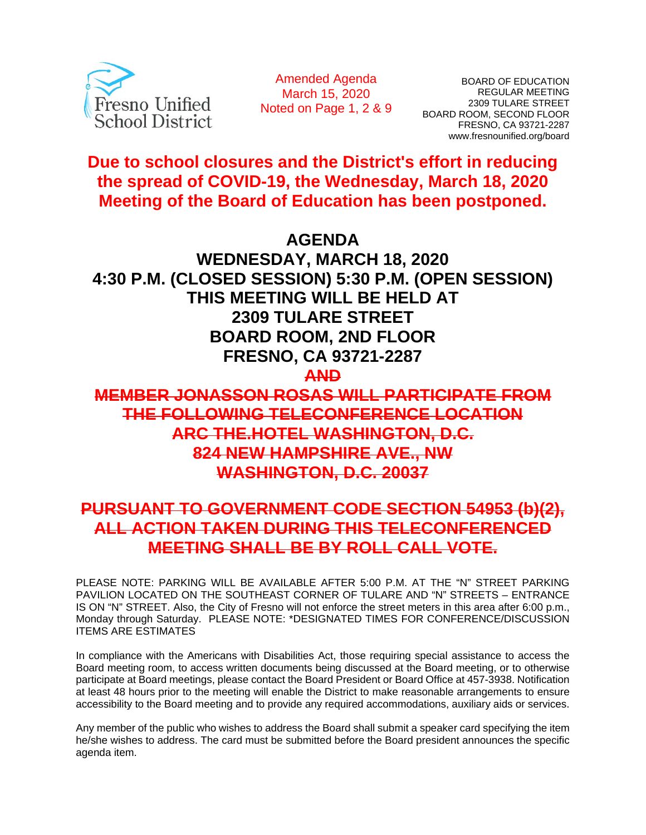

Amended Agenda March 15, 2020 Noted on Page 1, 2 & 9

BOARD OF EDUCATION REGULAR MEETING 2309 TULARE STREET BOARD ROOM, SECOND FLOOR FRESNO, CA 93721-2287 www.fresnounified.org/board

**Due to school closures and the District's effort in reducing the spread of COVID-19, the Wednesday, March 18, 2020 Meeting of the Board of Education has been postponed.** 

# **AGENDA**

**WEDNESDAY, MARCH 18, 2020 4:30 P.M. (CLOSED SESSION) 5:30 P.M. (OPEN SESSION) THIS MEETING WILL BE HELD AT 2309 TULARE STREET BOARD ROOM, 2ND FLOOR FRESNO, CA 93721-2287** 

**AND** 

**MEMBER JONASSON ROSAS WILL PARTICIPATE FROM THE FOLLOWING TELECONFERENCE LOCATION ARC THE.HOTEL WASHINGTON, D.C. 824 NEW HAMPSHIRE AVE., NW WASHINGTON, D.C. 20037**

# **PURSUANT TO GOVERNMENT CODE SECTION 54953 (b)(2), ALL ACTION TAKEN DURING THIS TELECONFERENCED MEETING SHALL BE BY ROLL CALL VOTE.**

PLEASE NOTE: PARKING WILL BE AVAILABLE AFTER 5:00 P.M. AT THE "N" STREET PARKING PAVILION LOCATED ON THE SOUTHEAST CORNER OF TULARE AND "N" STREETS – ENTRANCE IS ON "N" STREET. Also, the City of Fresno will not enforce the street meters in this area after 6:00 p.m., Monday through Saturday. PLEASE NOTE: \*DESIGNATED TIMES FOR CONFERENCE/DISCUSSION ITEMS ARE ESTIMATES

In compliance with the Americans with Disabilities Act, those requiring special assistance to access the Board meeting room, to access written documents being discussed at the Board meeting, or to otherwise participate at Board meetings, please contact the Board President or Board Office at 457-3938. Notification at least 48 hours prior to the meeting will enable the District to make reasonable arrangements to ensure accessibility to the Board meeting and to provide any required accommodations, auxiliary aids or services.

Any member of the public who wishes to address the Board shall submit a speaker card specifying the item he/she wishes to address. The card must be submitted before the Board president announces the specific agenda item.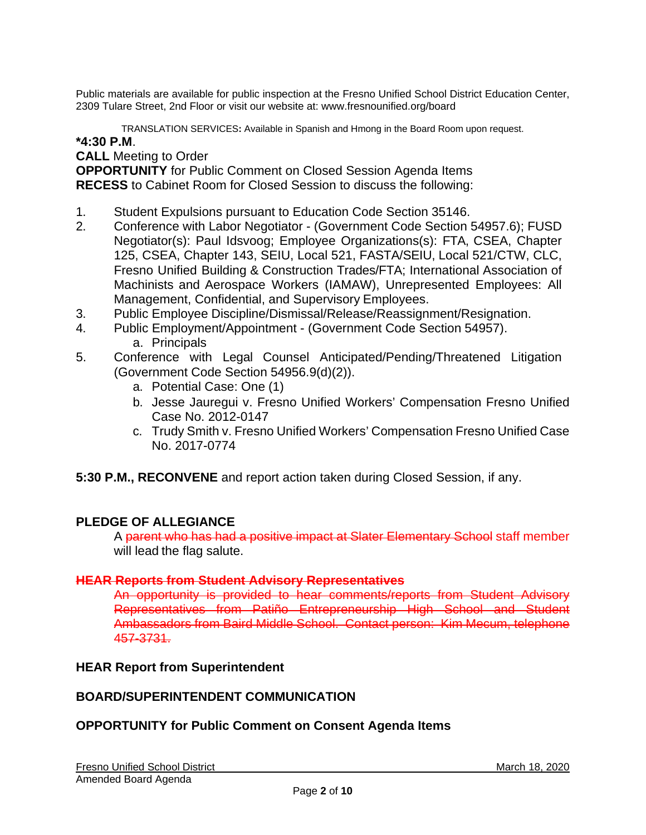Public materials are available for public inspection at the Fresno Unified School District Education Center, 2309 Tulare Street, 2nd Floor or visit our website at: www.fresnounified.org/board

TRANSLATION SERVICES**:** Available in Spanish and Hmong in the Board Room upon request.

### **\*4:30 P.M**.

**CALL** Meeting to Order

**OPPORTUNITY** for Public Comment on Closed Session Agenda Items **RECESS** to Cabinet Room for Closed Session to discuss the following:

- 1. Student Expulsions pursuant to Education Code Section 35146.
- 2. Conference with Labor Negotiator (Government Code Section 54957.6); FUSD Negotiator(s): Paul Idsvoog; Employee Organizations(s): FTA, CSEA, Chapter 125, CSEA, Chapter 143, SEIU, Local 521, FASTA/SEIU, Local 521/CTW, CLC, Fresno Unified Building & Construction Trades/FTA; International Association of Machinists and Aerospace Workers (IAMAW), Unrepresented Employees: All Management, Confidential, and Supervisory Employees.
- 3. Public Employee Discipline/Dismissal/Release/Reassignment/Resignation.
- 4. Public Employment/Appointment (Government Code Section 54957). a. Principals
- 5. Conference with Legal Counsel Anticipated/Pending/Threatened Litigation (Government Code Section 54956.9(d)(2)).
	- a. Potential Case: One (1)
	- b. Jesse Jauregui v. Fresno Unified Workers' Compensation Fresno Unified Case No. 2012-0147
	- c. Trudy Smith v. Fresno Unified Workers' Compensation Fresno Unified Case No. 2017-0774
- **5:30 P.M., RECONVENE** and report action taken during Closed Session, if any.

### **PLEDGE OF ALLEGIANCE**

A parent who has had a positive impact at Slater Elementary School staff member will lead the flag salute.

### **HEAR Reports from Student Advisory Representatives**

An opportunity is provided to hear comments/reports from Student Advisory Representatives from Patiño Entrepreneurship High School and Student Ambassadors from Baird Middle School. Contact person: Kim Mecum, telephone 457-3731.

#### **HEAR Report from Superintendent**

### **BOARD/SUPERINTENDENT COMMUNICATION**

### **OPPORTUNITY for Public Comment on Consent Agenda Items**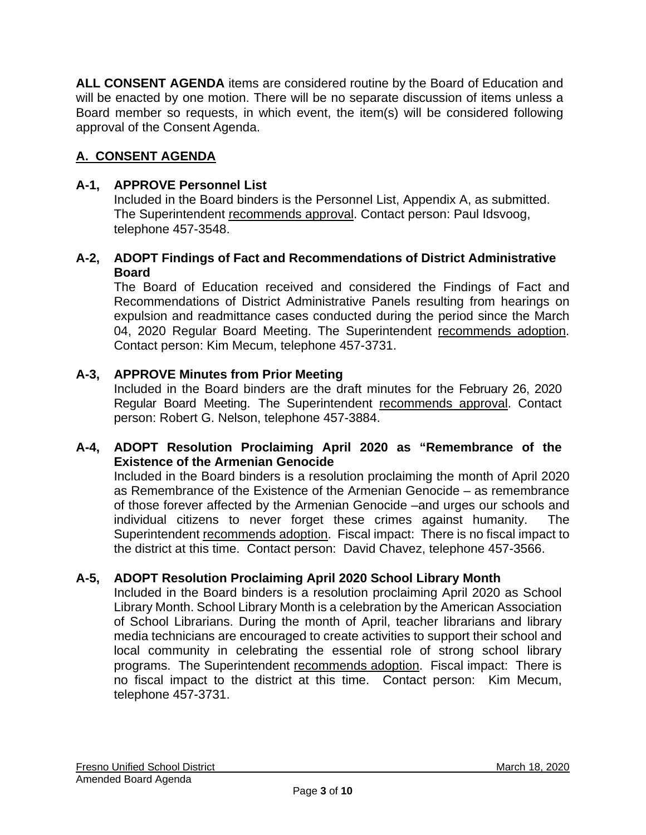**ALL CONSENT AGENDA** items are considered routine by the Board of Education and will be enacted by one motion. There will be no separate discussion of items unless a Board member so requests, in which event, the item(s) will be considered following approval of the Consent Agenda.

# **A. CONSENT AGENDA**

### **A-1, APPROVE Personnel List**

Included in the Board binders is the Personnel List, Appendix A, as submitted. The Superintendent recommends approval. Contact person: Paul Idsvoog, telephone 457-3548.

### **A-2, ADOPT Findings of Fact and Recommendations of District Administrative Board**

The Board of Education received and considered the Findings of Fact and Recommendations of District Administrative Panels resulting from hearings on expulsion and readmittance cases conducted during the period since the March 04, 2020 Regular Board Meeting. The Superintendent recommends adoption. Contact person: Kim Mecum, telephone 457-3731.

### **A-3, APPROVE Minutes from Prior Meeting**

Included in the Board binders are the draft minutes for the February 26, 2020 Regular Board Meeting. The Superintendent recommends approval. Contact person: Robert G. Nelson, telephone 457-3884.

### **A-4, ADOPT Resolution Proclaiming April 2020 as "Remembrance of the Existence of the Armenian Genocide**

Included in the Board binders is a resolution proclaiming the month of April 2020 as Remembrance of the Existence of the Armenian Genocide – as remembrance of those forever affected by the Armenian Genocide –and urges our schools and individual citizens to never forget these crimes against humanity. The Superintendent recommends adoption. Fiscal impact: There is no fiscal impact to the district at this time. Contact person: David Chavez, telephone 457-3566.

### **A-5, ADOPT Resolution Proclaiming April 2020 School Library Month**

Included in the Board binders is a resolution proclaiming April 2020 as School Library Month. School Library Month is a celebration by the American Association of School Librarians. During the month of April, teacher librarians and library media technicians are encouraged to create activities to support their school and local community in celebrating the essential role of strong school library programs. The Superintendent recommends adoption. Fiscal impact: There is no fiscal impact to the district at this time. Contact person: Kim Mecum, telephone 457-3731.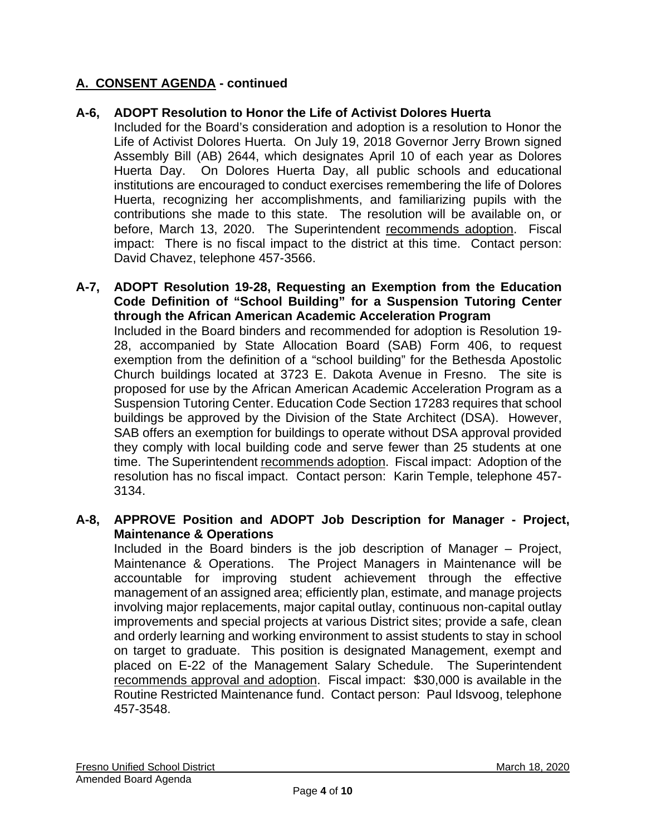# **A. CONSENT AGENDA - continued**

# **A-6, ADOPT Resolution to Honor the Life of Activist Dolores Huerta**

Included for the Board's consideration and adoption is a resolution to Honor the Life of Activist Dolores Huerta. On July 19, 2018 Governor Jerry Brown signed Assembly Bill (AB) 2644, which designates April 10 of each year as Dolores Huerta Day. On Dolores Huerta Day, all public schools and educational institutions are encouraged to conduct exercises remembering the life of Dolores Huerta, recognizing her accomplishments, and familiarizing pupils with the contributions she made to this state. The resolution will be available on, or before, March 13, 2020. The Superintendent recommends adoption. Fiscal impact: There is no fiscal impact to the district at this time. Contact person: David Chavez, telephone 457-3566.

#### **A-7, ADOPT Resolution 19-28, Requesting an Exemption from the Education Code Definition of "School Building" for a Suspension Tutoring Center through the African American Academic Acceleration Program**  Included in the Board binders and recommended for adoption is Resolution 19- 28, accompanied by State Allocation Board (SAB) Form 406, to request exemption from the definition of a "school building" for the Bethesda Apostolic Church buildings located at 3723 E. Dakota Avenue in Fresno. The site is proposed for use by the African American Academic Acceleration Program as a Suspension Tutoring Center. Education Code Section 17283 requires that school buildings be approved by the Division of the State Architect (DSA). However, SAB offers an exemption for buildings to operate without DSA approval provided they comply with local building code and serve fewer than 25 students at one time. The Superintendent recommends adoption. Fiscal impact: Adoption of the resolution has no fiscal impact. Contact person: Karin Temple, telephone 457- 3134.

### **A-8, APPROVE Position and ADOPT Job Description for Manager - Project, Maintenance & Operations**

Included in the Board binders is the job description of Manager – Project, Maintenance & Operations. The Project Managers in Maintenance will be accountable for improving student achievement through the effective management of an assigned area; efficiently plan, estimate, and manage projects involving major replacements, major capital outlay, continuous non-capital outlay improvements and special projects at various District sites; provide a safe, clean and orderly learning and working environment to assist students to stay in school on target to graduate. This position is designated Management, exempt and placed on E-22 of the Management Salary Schedule. The Superintendent recommends approval and adoption. Fiscal impact: \$30,000 is available in the Routine Restricted Maintenance fund. Contact person: Paul Idsvoog, telephone 457-3548.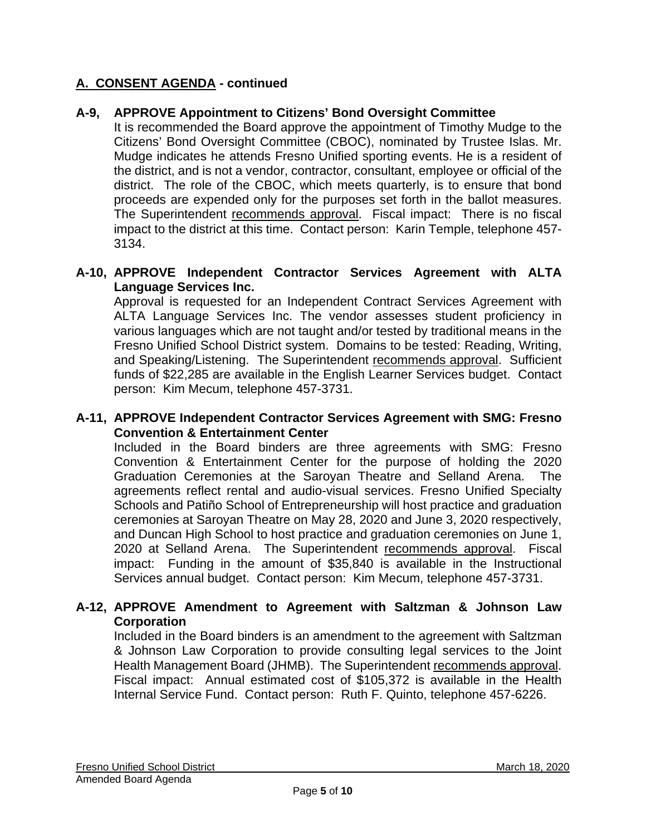# **A. CONSENT AGENDA - continued**

### **A-9, APPROVE Appointment to Citizens' Bond Oversight Committee**

It is recommended the Board approve the appointment of Timothy Mudge to the Citizens' Bond Oversight Committee (CBOC), nominated by Trustee Islas. Mr. Mudge indicates he attends Fresno Unified sporting events. He is a resident of the district, and is not a vendor, contractor, consultant, employee or official of the district. The role of the CBOC, which meets quarterly, is to ensure that bond proceeds are expended only for the purposes set forth in the ballot measures. The Superintendent recommends approval. Fiscal impact: There is no fiscal impact to the district at this time. Contact person: Karin Temple, telephone 457- 3134.

### **A-10, APPROVE Independent Contractor Services Agreement with ALTA Language Services Inc.**

Approval is requested for an Independent Contract Services Agreement with ALTA Language Services Inc. The vendor assesses student proficiency in various languages which are not taught and/or tested by traditional means in the Fresno Unified School District system. Domains to be tested: Reading, Writing, and Speaking/Listening. The Superintendent recommends approval. Sufficient funds of \$22,285 are available in the English Learner Services budget. Contact person: Kim Mecum, telephone 457-3731.

### **A-11, APPROVE Independent Contractor Services Agreement with SMG: Fresno Convention & Entertainment Center**

Included in the Board binders are three agreements with SMG: Fresno Convention & Entertainment Center for the purpose of holding the 2020 Graduation Ceremonies at the Saroyan Theatre and Selland Arena. The agreements reflect rental and audio-visual services. Fresno Unified Specialty Schools and Patiño School of Entrepreneurship will host practice and graduation ceremonies at Saroyan Theatre on May 28, 2020 and June 3, 2020 respectively, and Duncan High School to host practice and graduation ceremonies on June 1, 2020 at Selland Arena. The Superintendent recommends approval. Fiscal impact: Funding in the amount of \$35,840 is available in the Instructional Services annual budget. Contact person: Kim Mecum, telephone 457-3731.

### **A-12, APPROVE Amendment to Agreement with Saltzman & Johnson Law Corporation**

Included in the Board binders is an amendment to the agreement with Saltzman & Johnson Law Corporation to provide consulting legal services to the Joint Health Management Board (JHMB). The Superintendent recommends approval. Fiscal impact: Annual estimated cost of \$105,372 is available in the Health Internal Service Fund. Contact person: Ruth F. Quinto, telephone 457-6226.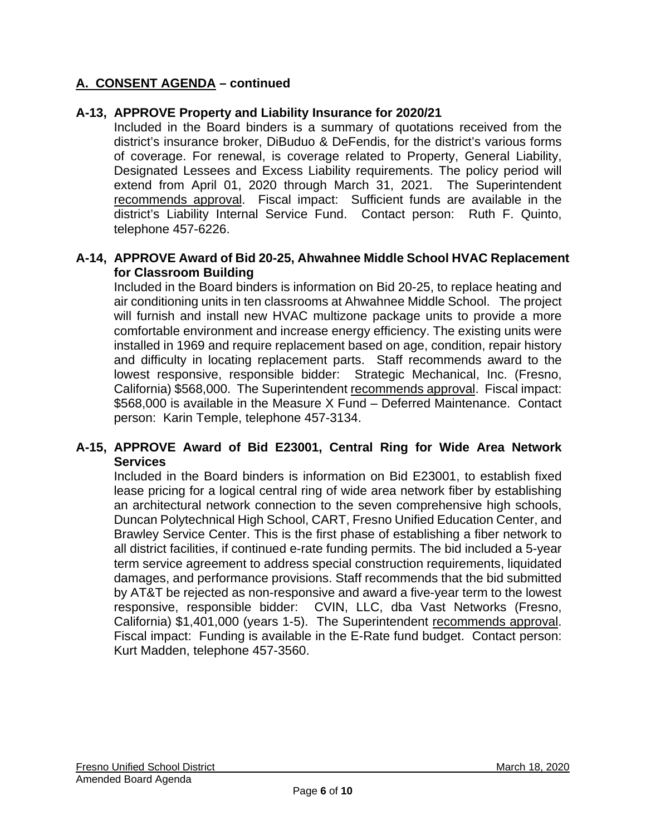# **A. CONSENT AGENDA – continued**

### **A-13, APPROVE Property and Liability Insurance for 2020/21**

Included in the Board binders is a summary of quotations received from the district's insurance broker, DiBuduo & DeFendis, for the district's various forms of coverage. For renewal, is coverage related to Property, General Liability, Designated Lessees and Excess Liability requirements. The policy period will extend from April 01, 2020 through March 31, 2021. The Superintendent recommends approval. Fiscal impact: Sufficient funds are available in the district's Liability Internal Service Fund. Contact person: Ruth F. Quinto, telephone 457-6226.

### **A-14, APPROVE Award of Bid 20-25, Ahwahnee Middle School HVAC Replacement for Classroom Building**

Included in the Board binders is information on Bid 20-25, to replace heating and air conditioning units in ten classrooms at Ahwahnee Middle School. The project will furnish and install new HVAC multizone package units to provide a more comfortable environment and increase energy efficiency. The existing units were installed in 1969 and require replacement based on age, condition, repair history and difficulty in locating replacement parts. Staff recommends award to the lowest responsive, responsible bidder: Strategic Mechanical, Inc. (Fresno, California) \$568,000. The Superintendent recommends approval. Fiscal impact: \$568,000 is available in the Measure X Fund – Deferred Maintenance. Contact person: Karin Temple, telephone 457-3134.

### **A-15, APPROVE Award of Bid E23001, Central Ring for Wide Area Network Services**

Included in the Board binders is information on Bid E23001, to establish fixed lease pricing for a logical central ring of wide area network fiber by establishing an architectural network connection to the seven comprehensive high schools, Duncan Polytechnical High School, CART, Fresno Unified Education Center, and Brawley Service Center. This is the first phase of establishing a fiber network to all district facilities, if continued e-rate funding permits. The bid included a 5-year term service agreement to address special construction requirements, liquidated damages, and performance provisions. Staff recommends that the bid submitted by AT&T be rejected as non-responsive and award a five-year term to the lowest responsive, responsible bidder: CVIN, LLC, dba Vast Networks (Fresno, California) \$1,401,000 (years 1-5). The Superintendent recommends approval. Fiscal impact: Funding is available in the E-Rate fund budget. Contact person: Kurt Madden, telephone 457-3560.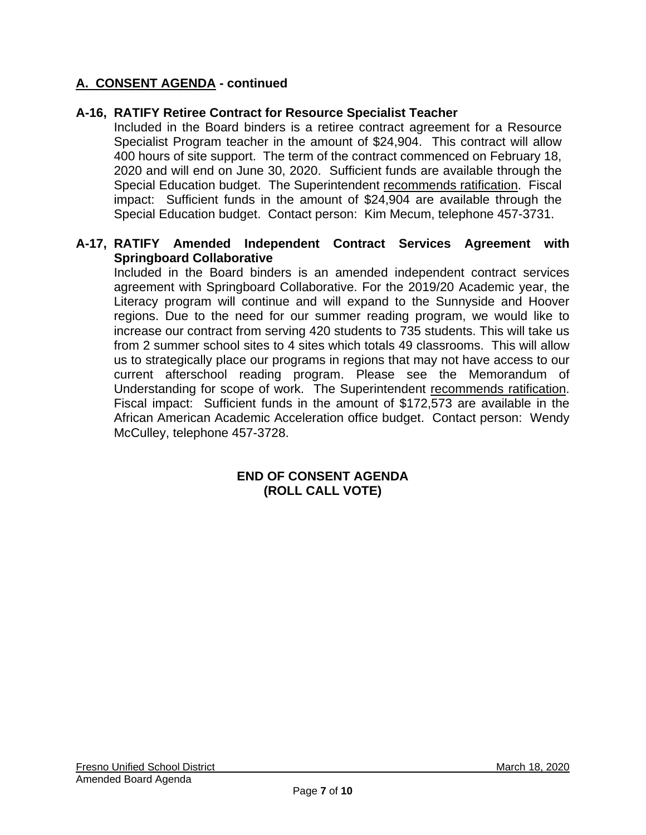# **A. CONSENT AGENDA - continued**

### **A-16, RATIFY Retiree Contract for Resource Specialist Teacher**

Included in the Board binders is a retiree contract agreement for a Resource Specialist Program teacher in the amount of \$24,904. This contract will allow 400 hours of site support. The term of the contract commenced on February 18, 2020 and will end on June 30, 2020. Sufficient funds are available through the Special Education budget. The Superintendent recommends ratification. Fiscal impact: Sufficient funds in the amount of \$24,904 are available through the Special Education budget. Contact person: Kim Mecum, telephone 457-3731.

### **A-17, RATIFY Amended Independent Contract Services Agreement with Springboard Collaborative**

Included in the Board binders is an amended independent contract services agreement with Springboard Collaborative. For the 2019/20 Academic year, the Literacy program will continue and will expand to the Sunnyside and Hoover regions. Due to the need for our summer reading program, we would like to increase our contract from serving 420 students to 735 students. This will take us from 2 summer school sites to 4 sites which totals 49 classrooms. This will allow us to strategically place our programs in regions that may not have access to our current afterschool reading program. Please see the Memorandum of Understanding for scope of work. The Superintendent recommends ratification. Fiscal impact: Sufficient funds in the amount of \$172,573 are available in the African American Academic Acceleration office budget. Contact person: Wendy McCulley, telephone 457-3728.

### **END OF CONSENT AGENDA (ROLL CALL VOTE)**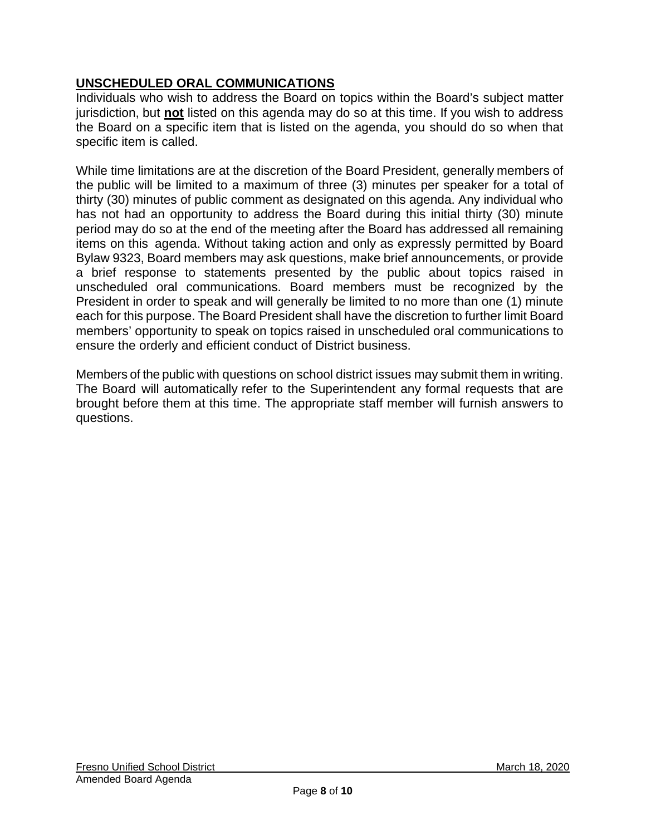# **UNSCHEDULED ORAL COMMUNICATIONS**

Individuals who wish to address the Board on topics within the Board's subject matter jurisdiction, but **not** listed on this agenda may do so at this time. If you wish to address the Board on a specific item that is listed on the agenda, you should do so when that specific item is called.

While time limitations are at the discretion of the Board President, generally members of the public will be limited to a maximum of three (3) minutes per speaker for a total of thirty (30) minutes of public comment as designated on this agenda. Any individual who has not had an opportunity to address the Board during this initial thirty (30) minute period may do so at the end of the meeting after the Board has addressed all remaining items on this agenda. Without taking action and only as expressly permitted by Board Bylaw 9323, Board members may ask questions, make brief announcements, or provide a brief response to statements presented by the public about topics raised in unscheduled oral communications. Board members must be recognized by the President in order to speak and will generally be limited to no more than one (1) minute each for this purpose. The Board President shall have the discretion to further limit Board members' opportunity to speak on topics raised in unscheduled oral communications to ensure the orderly and efficient conduct of District business.

Members of the public with questions on school district issues may submit them in writing. The Board will automatically refer to the Superintendent any formal requests that are brought before them at this time. The appropriate staff member will furnish answers to questions.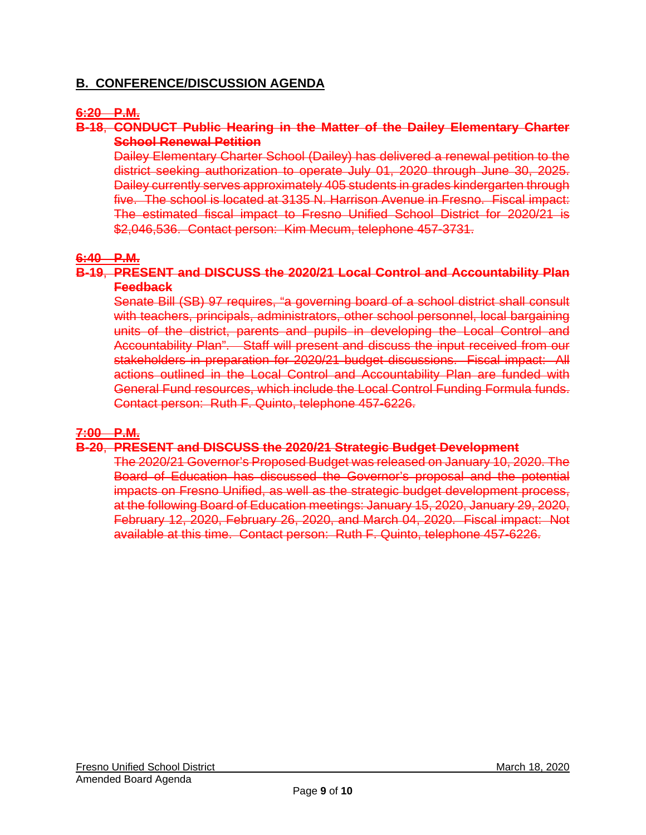### **B. CONFERENCE/DISCUSSION AGENDA**

### **6:20 P.M.**

### **B-18**, **CONDUCT Public Hearing in the Matter of the Dailey Elementary Charter School Renewal Petition**

Dailey Elementary Charter School (Dailey) has delivered a renewal petition to the district seeking authorization to operate July 01, 2020 through June 30, 2025. Dailey currently serves approximately 405 students in grades kindergarten through five. The school is located at 3135 N. Harrison Avenue in Fresno. Fiscal impact: The estimated fiscal impact to Fresno Unified School District for 2020/21 is \$2,046,536. Contact person: Kim Mecum, telephone 457-3731.

#### **6:40 P.M.**

#### **B-19**, **PRESENT and DISCUSS the 2020/21 Local Control and Accountability Plan Feedback**

Senate Bill (SB) 97 requires, "a governing board of a school district shall consult with teachers, principals, administrators, other school personnel, local bargaining units of the district, parents and pupils in developing the Local Control and Accountability Plan". Staff will present and discuss the input received from our stakeholders in preparation for 2020/21 budget discussions. Fiscal impact: All actions outlined in the Local Control and Accountability Plan are funded with General Fund resources, which include the Local Control Funding Formula funds. Contact person: Ruth F. Quinto, telephone 457-6226.

#### **7:00 P.M.**

#### **B-20**, **PRESENT and DISCUSS the 2020/21 Strategic Budget Development**

The 2020/21 Governor's Proposed Budget was released on January 10, 2020. The Board of Education has discussed the Governor's proposal and the potential impacts on Fresno Unified, as well as the strategic budget development process, at the following Board of Education meetings: January 15, 2020, January 29, 2020, February 12, 2020, February 26, 2020, and March 04, 2020. Fiscal impact: Not available at this time. Contact person: Ruth F. Quinto, telephone 457-6226.